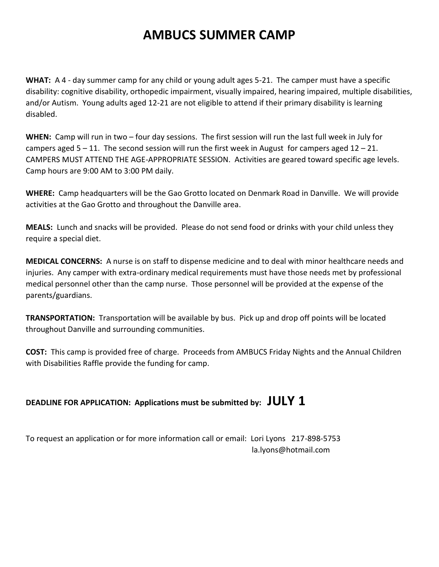## **AMBUCS SUMMER CAMP**

**WHAT:** A 4 - day summer camp for any child or young adult ages 5-21. The camper must have a specific disability: cognitive disability, orthopedic impairment, visually impaired, hearing impaired, multiple disabilities, and/or Autism. Young adults aged 12-21 are not eligible to attend if their primary disability is learning disabled.

**WHEN:** Camp will run in two – four day sessions. The first session will run the last full week in July for campers aged  $5 - 11$ . The second session will run the first week in August for campers aged  $12 - 21$ . CAMPERS MUST ATTEND THE AGE-APPROPRIATE SESSION. Activities are geared toward specific age levels. Camp hours are 9:00 AM to 3:00 PM daily.

**WHERE:** Camp headquarters will be the Gao Grotto located on Denmark Road in Danville. We will provide activities at the Gao Grotto and throughout the Danville area.

**MEALS:** Lunch and snacks will be provided. Please do not send food or drinks with your child unless they require a special diet.

**MEDICAL CONCERNS:** A nurse is on staff to dispense medicine and to deal with minor healthcare needs and injuries. Any camper with extra-ordinary medical requirements must have those needs met by professional medical personnel other than the camp nurse. Those personnel will be provided at the expense of the parents/guardians.

**TRANSPORTATION:** Transportation will be available by bus. Pick up and drop off points will be located throughout Danville and surrounding communities.

**COST:** This camp is provided free of charge. Proceeds from AMBUCS Friday Nights and the Annual Children with Disabilities Raffle provide the funding for camp.

## **DEADLINE FOR APPLICATION: Applications must be submitted by: JULY 1**

To request an application or for more information call or email: Lori Lyons 217-898-5753 la.lyons@hotmail.com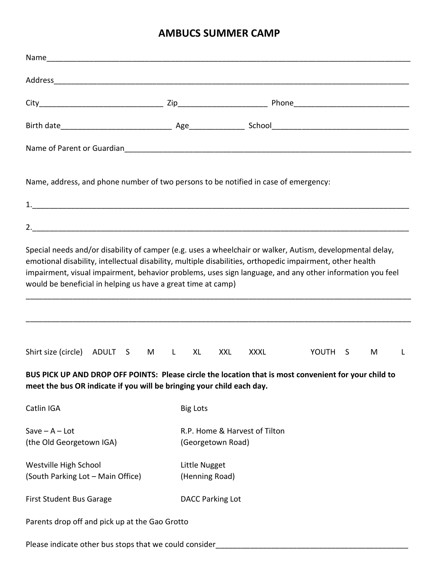## **AMBUCS SUMMER CAMP**

| Name, address, and phone number of two persons to be notified in case of emergency:                                                                                                                                                                                                                                                                                                                |   |                                                    |            |             |                    |  |   |   |
|----------------------------------------------------------------------------------------------------------------------------------------------------------------------------------------------------------------------------------------------------------------------------------------------------------------------------------------------------------------------------------------------------|---|----------------------------------------------------|------------|-------------|--------------------|--|---|---|
|                                                                                                                                                                                                                                                                                                                                                                                                    |   |                                                    |            |             |                    |  |   |   |
|                                                                                                                                                                                                                                                                                                                                                                                                    |   |                                                    |            |             |                    |  |   |   |
| Special needs and/or disability of camper (e.g. uses a wheelchair or walker, Autism, developmental delay,<br>emotional disability, intellectual disability, multiple disabilities, orthopedic impairment, other health<br>impairment, visual impairment, behavior problems, uses sign language, and any other information you feel<br>would be beneficial in helping us have a great time at camp) |   |                                                    |            |             |                    |  |   |   |
| Shirt size (circle) ADULT S<br>M                                                                                                                                                                                                                                                                                                                                                                   | L | XL                                                 | <b>XXL</b> | <b>XXXL</b> | YOUTH <sub>S</sub> |  | M | L |
| BUS PICK UP AND DROP OFF POINTS: Please circle the location that is most convenient for your child to<br>meet the bus OR indicate if you will be bringing your child each day.                                                                                                                                                                                                                     |   |                                                    |            |             |                    |  |   |   |
| Catlin IGA                                                                                                                                                                                                                                                                                                                                                                                         |   | <b>Big Lots</b>                                    |            |             |                    |  |   |   |
| $Save - A - Lot$<br>(the Old Georgetown IGA)                                                                                                                                                                                                                                                                                                                                                       |   | R.P. Home & Harvest of Tilton<br>(Georgetown Road) |            |             |                    |  |   |   |
| Westville High School<br>(South Parking Lot - Main Office)                                                                                                                                                                                                                                                                                                                                         |   | Little Nugget<br>(Henning Road)                    |            |             |                    |  |   |   |
| <b>First Student Bus Garage</b>                                                                                                                                                                                                                                                                                                                                                                    |   | <b>DACC Parking Lot</b>                            |            |             |                    |  |   |   |
| Parents drop off and pick up at the Gao Grotto                                                                                                                                                                                                                                                                                                                                                     |   |                                                    |            |             |                    |  |   |   |
| Please indicate other bus stops that we could consider                                                                                                                                                                                                                                                                                                                                             |   |                                                    |            |             |                    |  |   |   |